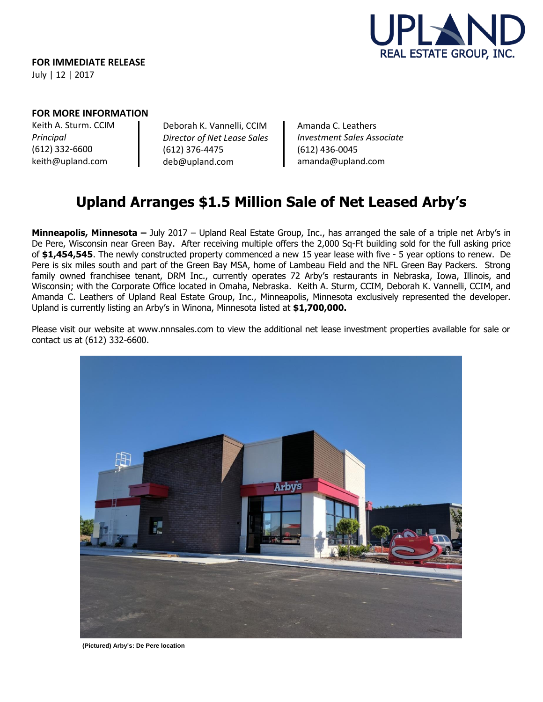

## **FOR MORE INFORMATION**

Keith A. Sturm. CCIM *Principal* (612) 332-6600 keith@upland.com

Deborah K. Vannelli, CCIM *Director of Net Lease Sales* (612) 376-4475 deb@upland.com

Amanda C. Leathers *Investment Sales Associate* (612) 436-0045 amanda@upland.com

# **Upland Arranges \$1.5 Million Sale of Net Leased Arby's**

**Minneapolis, Minnesota –** July 2017 – Upland Real Estate Group, Inc., has arranged the sale of a triple net Arby's in De Pere, Wisconsin near Green Bay. After receiving multiple offers the 2,000 Sq-Ft building sold for the full asking price of **\$1,454,545**. The newly constructed property commenced a new 15 year lease with five - 5 year options to renew. De Pere is six miles south and part of the Green Bay MSA, home of Lambeau Field and the NFL Green Bay Packers. Strong family owned franchisee tenant, DRM Inc., currently operates 72 Arby's restaurants in Nebraska, Iowa, Illinois, and Wisconsin; with the Corporate Office located in Omaha, Nebraska. Keith A. Sturm, CCIM, Deborah K. Vannelli, CCIM, and Amanda C. Leathers of Upland Real Estate Group, Inc., Minneapolis, Minnesota exclusively represented the developer. Upland is currently listing an Arby's in Winona, Minnesota listed at **\$1,700,000.** 

Please visit our website at www.nnnsales.com to view the additional net lease investment properties available for sale or contact us at (612) 332-6600.



**(Pictured) Arby's: De Pere location**